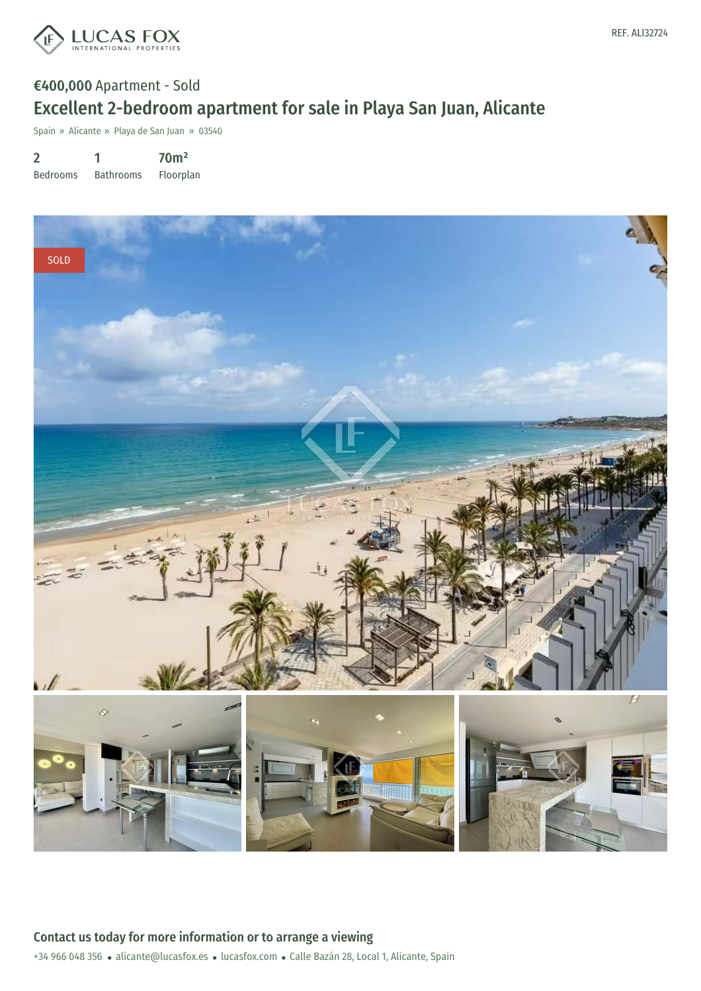

## €400,000 Apartment - Sold Excellent 2-bedroom apartment for sale in Playa San Juan, Alicante

Spain » Alicante » Playa de San Juan » 03540

2 Bedrooms 1 Bathrooms 70m² Floorplan

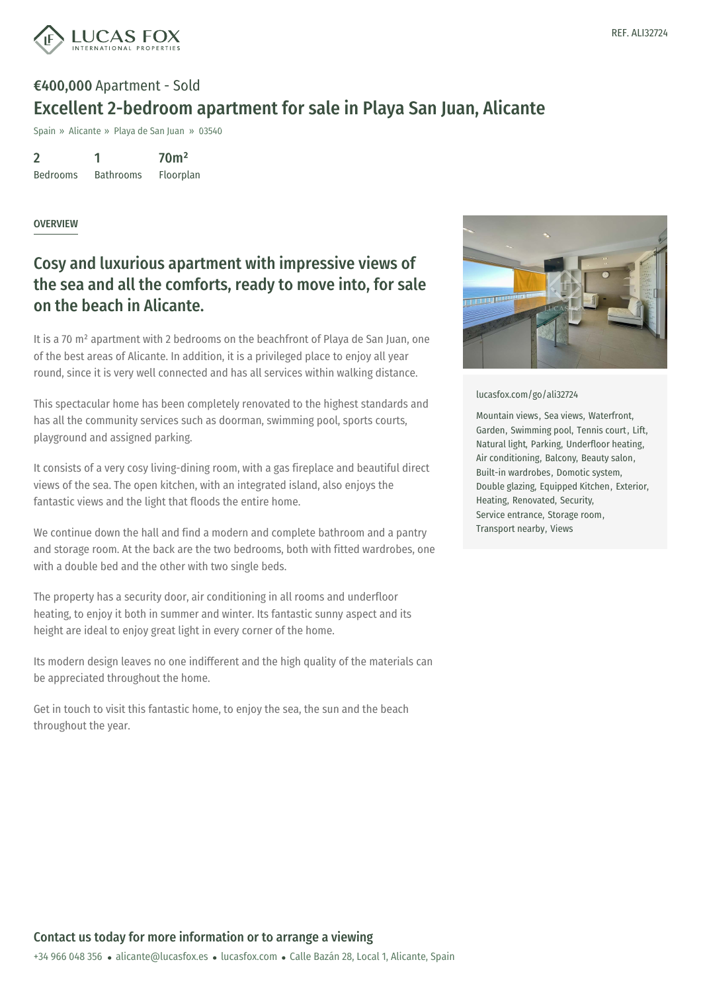

# €400,000 Apartment - Sold Excellent 2-bedroom apartment for sale in Playa San Juan, Alicante

Spain » Alicante » Playa de San Juan » 03540

2 Bedrooms 1 Bathrooms 70m² Floorplan

#### OVERVIEW

### Cosy and luxurious apartment with impressive views of the sea and all the comforts, ready to move into, for sale on the beach in Alicante.

It is a 70 m² apartment with 2 bedrooms on the beachfront of Playa de San Juan, one of the best areas of Alicante. In addition, it is a privileged place to enjoy all year round, since it is very well connected and has all services within walking distance.

This spectacular home has been completely renovated to the highest standards and has all the community services such as doorman, swimming pool, sports courts, playground and assigned parking.

It consists of a very cosy living-dining room, with a gas fireplace and beautiful direct views of the sea. The open kitchen, with an integrated island, also enjoys the fantastic views and the light that floods the entire home.

We continue down the hall and find a modern and complete bathroom and a pantry and storage room. At the back are the two bedrooms, both with fitted wardrobes, one with a double bed and the other with two single beds.

The property has a security door, air conditioning in all rooms and underfloor heating, to enjoy it both in summer and winter. Its fantastic sunny aspect and its height are ideal to enjoy great light in every corner of the home.

Its modern design leaves no one indifferent and the high quality of the materials can be appreciated throughout the home.

Get in touch to visit this fantastic home, to enjoy the sea, the sun and the beach throughout the year.



[lucasfox.com/go/ali32724](https://www.lucasfox.com/go/ali32724)

Mountain views, Sea views, Waterfront, Garden, Swimming pool, Tennis court, Lift, Natural light, Parking, Underfloor heating, Air conditioning, Balcony, Beauty salon, Built-in wardrobes, Domotic system, Double glazing, Equipped Kitchen, Exterior, Heating, Renovated, Security, Service entrance, Storage room, Transport nearby, Views